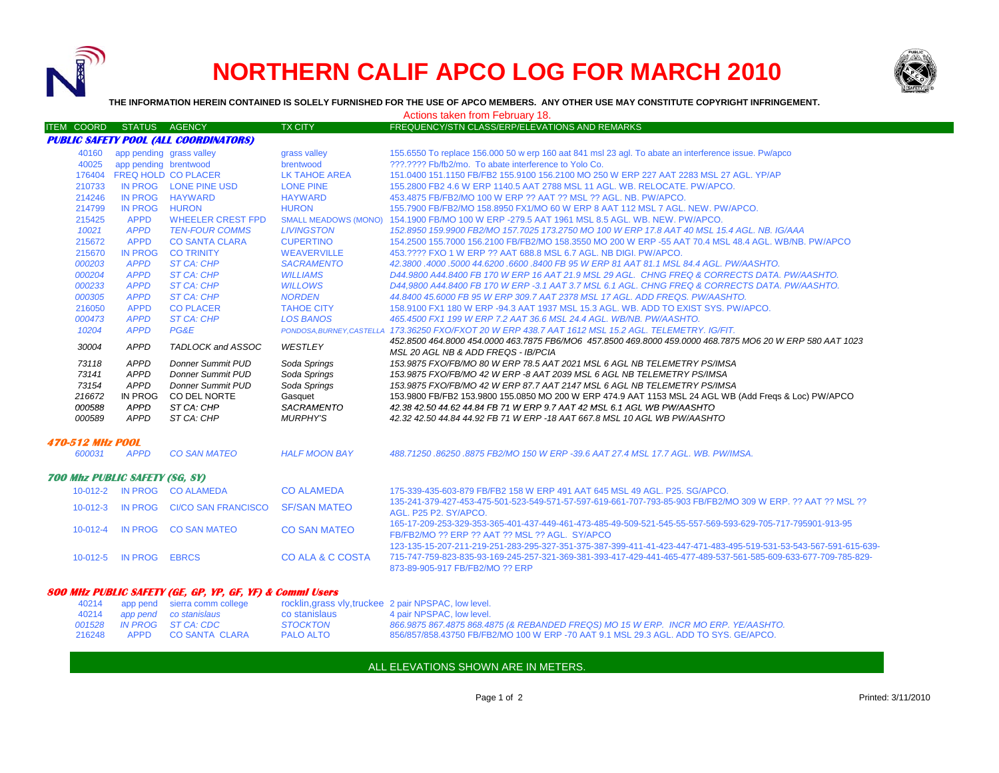

## **NORTHERN CALIF APCO LOG FOR MARCH 2010**



**THE INFORMATION HEREIN CONTAINED IS SOLELY FURNISHED FOR THE USE OF APCO MEMBERS. ANY OTHER USE MAY CONSTITUTE COPYRIGHT INFRINGEMENT.**

Actions taken from February 18.

| ITEM COORD STATUS AGENCY                                 |                          |                             | <b>TX CITY</b>              | FREQUENCY/STN CLASS/ERP/ELEVATIONS AND REMARKS                                                                                                                                                                                                                          |  |  |  |
|----------------------------------------------------------|--------------------------|-----------------------------|-----------------------------|-------------------------------------------------------------------------------------------------------------------------------------------------------------------------------------------------------------------------------------------------------------------------|--|--|--|
| <b>PUBLIC SAFETY POOL (ALL COORDINATORS)</b>             |                          |                             |                             |                                                                                                                                                                                                                                                                         |  |  |  |
| 40160                                                    | app pending grass valley |                             | grass valley                | 155.6550 To replace 156.000 50 w erp 160 aat 841 msl 23 agl. To abate an interference issue. Pw/apco                                                                                                                                                                    |  |  |  |
| 40025                                                    | app pending brentwood    |                             | brentwood                   | ???.???? Fb/fb2/mo. To abate interference to Yolo Co.                                                                                                                                                                                                                   |  |  |  |
| 176404                                                   |                          | <b>FREQ HOLD CO PLACER</b>  | <b>LK TAHOE AREA</b>        | 151,0400 151,1150 FB/FB2 155,9100 156,2100 MO 250 W ERP 227 AAT 2283 MSL 27 AGL. YP/AP                                                                                                                                                                                  |  |  |  |
| 210733                                                   |                          | IN PROG LONE PINE USD       | <b>LONE PINE</b>            | 155,2800 FB2 4.6 W ERP 1140.5 AAT 2788 MSL 11 AGL, WB, RELOCATE, PW/APCO,                                                                                                                                                                                               |  |  |  |
| 214246                                                   |                          | IN PROG HAYWARD             | <b>HAYWARD</b>              | 453.4875 FB/FB2/MO 100 W ERP ?? AAT ?? MSL ?? AGL, NB, PW/APCO.                                                                                                                                                                                                         |  |  |  |
| 214799                                                   | <b>IN PROG</b>           | <b>HURON</b>                | <b>HURON</b>                | 155.7900 FB/FB2/MO 158.8950 FX1/MO 60 W ERP 8 AAT 112 MSL 7 AGL. NEW. PW/APCO.                                                                                                                                                                                          |  |  |  |
| 215425                                                   | <b>APPD</b>              | <b>WHEELER CREST FPD</b>    | <b>SMALL MEADOWS (MONO)</b> | 154.1900 FB/MO 100 W ERP -279.5 AAT 1961 MSL 8.5 AGL, WB, NEW, PW/APCO,                                                                                                                                                                                                 |  |  |  |
| 10021                                                    | <b>APPD</b>              | <b>TEN-FOUR COMMS</b>       | <b>LIVINGSTON</b>           | 152.8950 159.9900 FB2/MO 157.7025 173.2750 MO 100 W ERP 17.8 AAT 40 MSL 15.4 AGL. NB. IG/AAA                                                                                                                                                                            |  |  |  |
| 215672                                                   | <b>APPD</b>              | <b>CO SANTA CLARA</b>       | <b>CUPERTINO</b>            | 154,2500 155,7000 156,2100 FB/FB2/MO 158,3550 MO 200 W ERP -55 AAT 70.4 MSL 48.4 AGL, WB/NB, PW/APCO                                                                                                                                                                    |  |  |  |
| 215670                                                   | <b>IN PROG</b>           | <b>CO TRINITY</b>           | <b>WEAVERVILLE</b>          | 453.???? FXO 1 W ERP ?? AAT 688.8 MSL 6.7 AGL. NB DIGI, PW/APCO.                                                                                                                                                                                                        |  |  |  |
| 000203                                                   | <b>APPD</b>              | <b>ST CA: CHP</b>           | <b>SACRAMENTO</b>           | 42.3800.4000.5000 44.6200.6600.8400 FB 95 W ERP 81 AAT 81.1 MSL 84.4 AGL, PW/AASHTO.                                                                                                                                                                                    |  |  |  |
| 000204                                                   | <b>APPD</b>              | ST CA: CHP                  | <b>WILLIAMS</b>             | D44,9800 A44,8400 FB 170 W ERP 16 AAT 21.9 MSL 29 AGL. CHNG FREQ & CORRECTS DATA. PW/AASHTO.                                                                                                                                                                            |  |  |  |
| 000233                                                   | <b>APPD</b>              | <b>ST CA: CHP</b>           | <b>WILLOWS</b>              | D44,9800 A44,8400 FB 170 W ERP -3.1 AAT 3.7 MSL 6.1 AGL. CHNG FREQ & CORRECTS DATA, PW/AASHTO,                                                                                                                                                                          |  |  |  |
| 000305                                                   | <b>APPD</b>              | <b>ST CA: CHP</b>           | <b>NORDEN</b>               | 44.8400 45.6000 FB 95 W ERP 309.7 AAT 2378 MSL 17 AGL. ADD FREQS. PW/AASHTO.                                                                                                                                                                                            |  |  |  |
| 216050                                                   | <b>APPD</b>              | <b>CO PLACER</b>            | <b>TAHOE CITY</b>           | 158,9100 FX1 180 W ERP -94.3 AAT 1937 MSL 15.3 AGL, WB, ADD TO EXIST SYS, PW/APCO,                                                                                                                                                                                      |  |  |  |
| 000473                                                   | <b>APPD</b>              | <b>ST CA: CHP</b>           | <b>LOS BANOS</b>            | 465.4500 FX1 199 W ERP 7.2 AAT 36.6 MSL 24.4 AGL. WB/NB. PW/AASHTO.                                                                                                                                                                                                     |  |  |  |
| 10204                                                    | <b>APPD</b>              | PG&E                        |                             | PONDOSA, BURNEY, CASTELLA 173.36250 FXO/FXOT 20 W ERP 438.7 AAT 1612 MSL 15.2 AGL. TELEMETRY. IG/FIT.                                                                                                                                                                   |  |  |  |
| 30004                                                    | <b>APPD</b>              | TADLOCK and ASSOC           | WESTLEY                     | 452.8500 464.8000 454.0000 463.7875 FB6/MO6 457.8500 469.8000 459.0000 468.7875 MO6 20 W ERP 580 AAT 1023<br>MSL 20 AGL NB & ADD FREQS - IB/PCIA                                                                                                                        |  |  |  |
| 73118                                                    | <b>APPD</b>              | <b>Donner Summit PUD</b>    | Soda Springs                | 153.9875 FXO/FB/MO 80 W ERP 78.5 AAT 2021 MSL 6 AGL NB TELEMETRY PS/IMSA                                                                                                                                                                                                |  |  |  |
| 73141                                                    | <b>APPD</b>              | <b>Donner Summit PUD</b>    | Soda Springs                | 153.9875 FXO/FB/MO 42 W ERP -8 AAT 2039 MSL 6 AGL NB TELEMETRY PS/IMSA                                                                                                                                                                                                  |  |  |  |
| 73154                                                    | <b>APPD</b>              | <b>Donner Summit PUD</b>    | Soda Springs                | 153.9875 FXO/FB/MO 42 W ERP 87.7 AAT 2147 MSL 6 AGL NB TELEMETRY PS/IMSA                                                                                                                                                                                                |  |  |  |
| 216672                                                   | <b>IN PROG</b>           | CO DEL NORTE                | Gasquet                     | 153.9800 FB/FB2 153.9800 155.0850 MO 200 W ERP 474.9 AAT 1153 MSL 24 AGL WB (Add Freqs & Loc) PW/APCO                                                                                                                                                                   |  |  |  |
| 000588                                                   | <b>APPD</b>              | ST CA: CHP                  | <b>SACRAMENTO</b>           | 42.38 42.50 44.62 44.84 FB 71 W ERP 9.7 AAT 42 MSL 6.1 AGL WB PW/AASHTO                                                                                                                                                                                                 |  |  |  |
| 000589                                                   | <b>APPD</b>              | ST CA: CHP                  | <b>MURPHY'S</b>             | 42.32 42.50 44.84 44.92 FB 71 W ERP -18 AAT 667.8 MSL 10 AGL WB PW/AASHTO                                                                                                                                                                                               |  |  |  |
| <b>470-512 MHz POOL</b>                                  |                          |                             |                             |                                                                                                                                                                                                                                                                         |  |  |  |
| 600031                                                   | <b>APPD</b>              | <b>CO SAN MATEO</b>         | <b>HALF MOON BAY</b>        | 488.71250.86250.8875 FB2/MO 150 W ERP -39.6 AAT 27.4 MSL 17.7 AGL. WB. PW/IMSA.                                                                                                                                                                                         |  |  |  |
| <b>700 Mhz PUBLIC SAFETY (SG, SY)</b>                    |                          |                             |                             |                                                                                                                                                                                                                                                                         |  |  |  |
|                                                          |                          | 10-012-2 IN PROG CO ALAMEDA | <b>CO ALAMEDA</b>           | 175-339-435-603-879 FB/FB2 158 W ERP 491 AAT 645 MSL 49 AGL, P25, SG/APCO,                                                                                                                                                                                              |  |  |  |
| $10 - 012 - 3$                                           |                          | IN PROG CI/CO SAN FRANCISCO | <b>SF/SAN MATEO</b>         | 135-241-379-427-453-475-501-523-549-571-57-597-619-661-707-793-85-903 FB/FB2/MO 309 W ERP, ?? AAT ?? MSL ??<br>AGL. P25 P2. SY/APCO.                                                                                                                                    |  |  |  |
| $10 - 012 - 4$                                           | <b>IN PROG</b>           | <b>CO SAN MATEO</b>         | <b>CO SAN MATEO</b>         | 165-17-209-253-329-353-365-401-437-449-461-473-485-49-509-521-545-55-557-569-593-629-705-717-795901-913-95<br>FB/FB2/MO ?? ERP ?? AAT ?? MSL ?? AGL. SY/APCO                                                                                                            |  |  |  |
| 10-012-5                                                 | <b>IN PROG</b>           | <b>EBRCS</b>                | <b>CO ALA &amp; C COSTA</b> | 123-135-15-207-211-219-251-283-295-327-351-375-387-399-411-41-423-447-471-483-495-519-531-53-543-567-591-615-639-<br>715-747-759-823-835-93-169-245-257-321-369-381-393-417-429-441-465-477-489-537-561-585-609-633-677-709-785-829-<br>873-89-905-917 FB/FB2/MO ?? ERP |  |  |  |
| 800 MHz PUBLIC SAFETY (GE. GP. YP. GF. YF) & Commi Users |                          |                             |                             |                                                                                                                                                                                                                                                                         |  |  |  |

|  | 40214 app pend sierra comm college |                  | rocklin,grass vly,truckee 2 pair NPSPAC, low level.                                  |
|--|------------------------------------|------------------|--------------------------------------------------------------------------------------|
|  | 40214 app pend co stanislaus       | co stanislaus    | 4 pair NPSPAC, low level.                                                            |
|  | 001528 IN PROG ST CA: CDC          | <b>STOCKTON</b>  | 866.9875 867.4875 868.4875 (& REBANDED FREQS) MO 15 W ERP. INCR MO ERP. YE/AASHTO.   |
|  | 216248 APPD CO SANTA CLARA         | <b>PALO ALTO</b> | 856/857/858.43750 FB/FB2/MO 100 W ERP -70 AAT 9.1 MSL 29.3 AGL, ADD TO SYS, GE/APCO. |

ALL ELEVATIONS SHOWN ARE IN METERS.